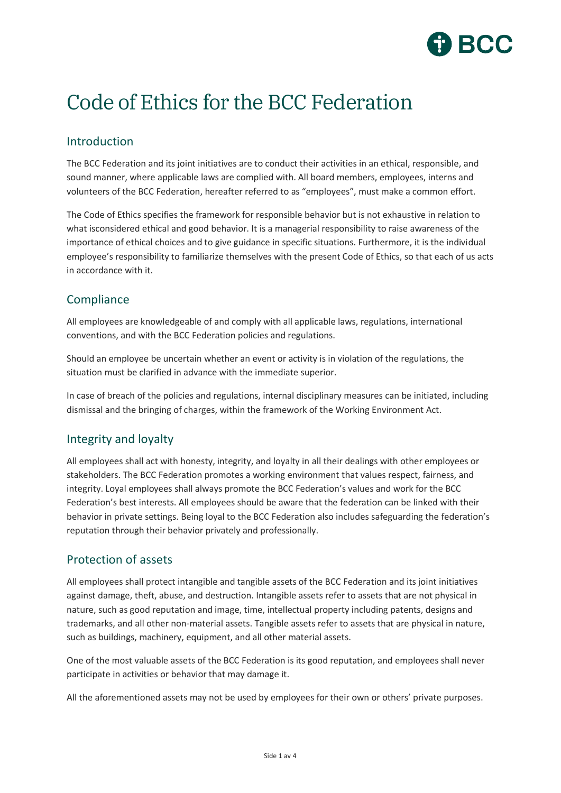

# Code of Ethics for the BCC Federation

## Introduction

The BCC Federation and its joint initiatives are to conduct their activities in an ethical, responsible, and sound manner, where applicable laws are complied with. All board members, employees, interns and volunteers of the BCC Federation, hereafter referred to as "employees", must make a common effort.

The Code of Ethics specifies the framework for responsible behavior but is not exhaustive in relation to what isconsidered ethical and good behavior. It is a managerial responsibility to raise awareness of the importance of ethical choices and to give guidance in specific situations. Furthermore, it is the individual employee's responsibility to familiarize themselves with the present Code of Ethics, so that each of us acts in accordance with it.

## **Compliance**

All employees are knowledgeable of and comply with all applicable laws, regulations, international conventions, and with the BCC Federation policies and regulations.

Should an employee be uncertain whether an event or activity is in violation of the regulations, the situation must be clarified in advance with the immediate superior.

In case of breach of the policies and regulations, internal disciplinary measures can be initiated, including dismissal and the bringing of charges, within the framework of the Working Environment Act.

#### Integrity and loyalty

All employees shall act with honesty, integrity, and loyalty in all their dealings with other employees or stakeholders. The BCC Federation promotes a working environment that values respect, fairness, and integrity. Loyal employees shall always promote the BCC Federation's values and work for the BCC Federation's best interests. All employees should be aware that the federation can be linked with their behavior in private settings. Being loyal to the BCC Federation also includes safeguarding the federation's reputation through their behavior privately and professionally.

#### Protection of assets

All employees shall protect intangible and tangible assets of the BCC Federation and its joint initiatives against damage, theft, abuse, and destruction. Intangible assets refer to assets that are not physical in nature, such as good reputation and image, time, intellectual property including patents, designs and trademarks, and all other non-material assets. Tangible assets refer to assets that are physical in nature, such as buildings, machinery, equipment, and all other material assets.

One of the most valuable assets of the BCC Federation is its good reputation, and employees shall never participate in activities or behavior that may damage it.

All the aforementioned assets may not be used by employees for their own or others' private purposes.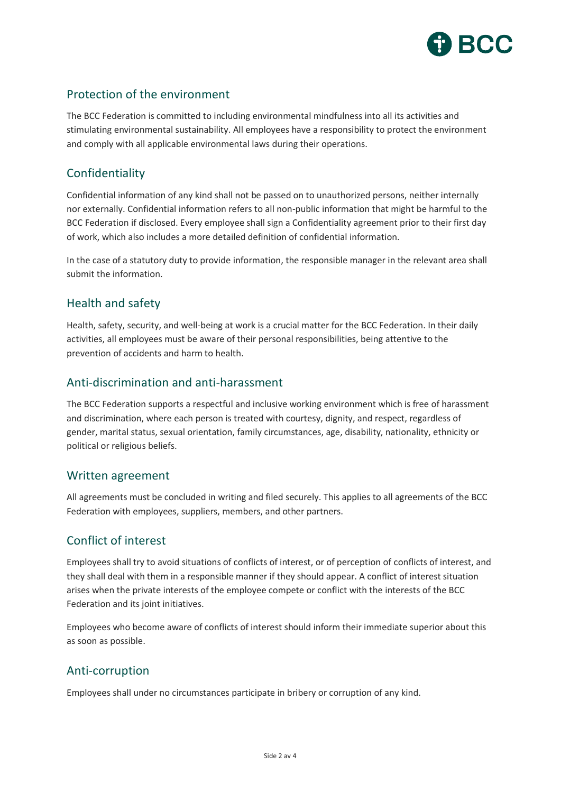

## Protection of the environment

The BCC Federation is committed to including environmental mindfulness into all its activities and stimulating environmental sustainability. All employees have a responsibility to protect the environment and comply with all applicable environmental laws during their operations.

## Confidentiality

Confidential information of any kind shall not be passed on to unauthorized persons, neither internally nor externally. Confidential information refers to all non-public information that might be harmful to the BCC Federation if disclosed. Every employee shall sign a Confidentiality agreement prior to their first day of work, which also includes a more detailed definition of confidential information.

In the case of a statutory duty to provide information, the responsible manager in the relevant area shall submit the information.

## Health and safety

Health, safety, security, and well-being at work is a crucial matter for the BCC Federation. In their daily activities, all employees must be aware of their personal responsibilities, being attentive to the prevention of accidents and harm to health.

## Anti-discrimination and anti-harassment

The BCC Federation supports a respectful and inclusive working environment which is free of harassment and discrimination, where each person is treated with courtesy, dignity, and respect, regardless of gender, marital status, sexual orientation, family circumstances, age, disability, nationality, ethnicity or political or religious beliefs.

#### Written agreement

All agreements must be concluded in writing and filed securely. This applies to all agreements of the BCC Federation with employees, suppliers, members, and other partners.

## Conflict of interest

Employees shall try to avoid situations of conflicts of interest, or of perception of conflicts of interest, and they shall deal with them in a responsible manner if they should appear. A conflict of interest situation arises when the private interests of the employee compete or conflict with the interests of the BCC Federation and its joint initiatives.

Employees who become aware of conflicts of interest should inform their immediate superior about this as soon as possible.

## Anti-corruption

Employees shall under no circumstances participate in bribery or corruption of any kind.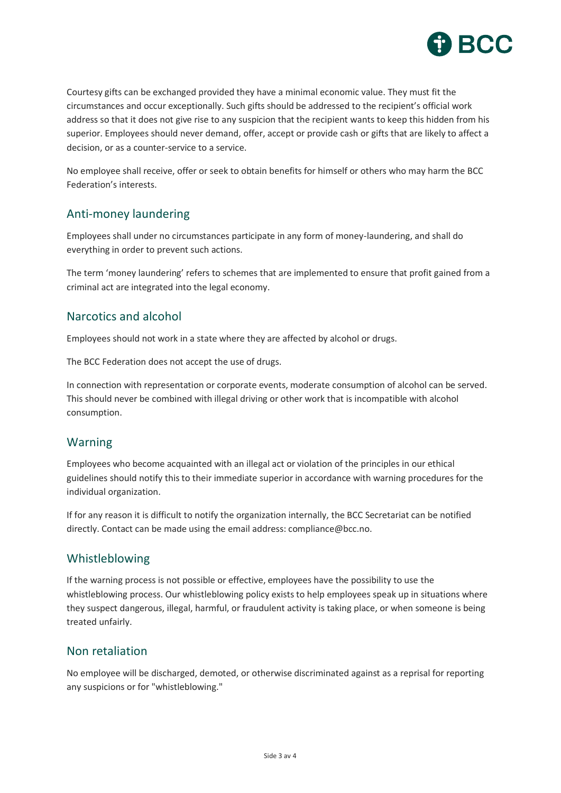

Courtesy gifts can be exchanged provided they have a minimal economic value. They must fit the circumstances and occur exceptionally. Such gifts should be addressed to the recipient's official work address so that it does not give rise to any suspicion that the recipient wants to keep this hidden from his superior. Employees should never demand, offer, accept or provide cash or gifts that are likely to affect a decision, or as a counter-service to a service.

No employee shall receive, offer or seek to obtain benefits for himself or others who may harm the BCC Federation's interests.

## Anti-money laundering

Employees shall under no circumstances participate in any form of money-laundering, and shall do everything in order to prevent such actions.

The term 'money laundering' refers to schemes that are implemented to ensure that profit gained from a criminal act are integrated into the legal economy.

### Narcotics and alcohol

Employees should not work in a state where they are affected by alcohol or drugs.

The BCC Federation does not accept the use of drugs.

In connection with representation or corporate events, moderate consumption of alcohol can be served. This should never be combined with illegal driving or other work that is incompatible with alcohol consumption.

#### Warning

Employees who become acquainted with an illegal act or violation of the principles in our ethical guidelines should notify this to their immediate superior in accordance with warning procedures for the individual organization.

If for any reason it is difficult to notify the organization internally, the BCC Secretariat can be notified directly. Contact can be made using the email address: compliance@bcc.no.

#### Whistleblowing

If the warning process is not possible or effective, employees have the possibility to use the whistleblowing process. Our whistleblowing policy exists to help employees speak up in situations where they suspect dangerous, illegal, harmful, or fraudulent activity is taking place, or when someone is being treated unfairly.

#### Non retaliation

No employee will be discharged, demoted, or otherwise discriminated against as a reprisal for reporting any suspicions or for "whistleblowing."